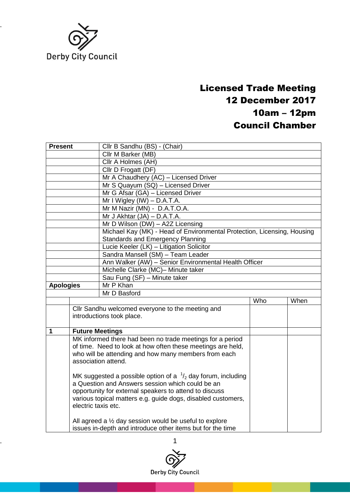

## Licensed Trade Meeting 12 December 2017 10am – 12pm Council Chamber

| <b>Present</b>      |                                               | Cllr B Sandhu (BS) - (Chair)                                                                                                                                                                                                                                                                                                                                                                                                                                                                        |     |      |  |  |
|---------------------|-----------------------------------------------|-----------------------------------------------------------------------------------------------------------------------------------------------------------------------------------------------------------------------------------------------------------------------------------------------------------------------------------------------------------------------------------------------------------------------------------------------------------------------------------------------------|-----|------|--|--|
|                     |                                               | Cllr M Barker (MB)                                                                                                                                                                                                                                                                                                                                                                                                                                                                                  |     |      |  |  |
|                     |                                               | Cllr A Holmes (AH)                                                                                                                                                                                                                                                                                                                                                                                                                                                                                  |     |      |  |  |
|                     |                                               | Cllr D Frogatt (DF)                                                                                                                                                                                                                                                                                                                                                                                                                                                                                 |     |      |  |  |
|                     |                                               | Mr A Chaudhery (AC) - Licensed Driver                                                                                                                                                                                                                                                                                                                                                                                                                                                               |     |      |  |  |
|                     |                                               | Mr S Quayum (SQ) - Licensed Driver                                                                                                                                                                                                                                                                                                                                                                                                                                                                  |     |      |  |  |
|                     |                                               | Mr G Afsar (GA) - Licensed Driver                                                                                                                                                                                                                                                                                                                                                                                                                                                                   |     |      |  |  |
|                     |                                               | Mr I Wigley (IW) - D.A.T.A.                                                                                                                                                                                                                                                                                                                                                                                                                                                                         |     |      |  |  |
|                     |                                               | Mr M Nazir (MN) - D.A.T.O.A.                                                                                                                                                                                                                                                                                                                                                                                                                                                                        |     |      |  |  |
|                     |                                               | Mr J Akhtar $(JA) - D.A.T.A$ .                                                                                                                                                                                                                                                                                                                                                                                                                                                                      |     |      |  |  |
|                     |                                               | Mr D Wilson (DW) - A2Z Licensing                                                                                                                                                                                                                                                                                                                                                                                                                                                                    |     |      |  |  |
|                     |                                               | Michael Kay (MK) - Head of Environmental Protection, Licensing, Housing                                                                                                                                                                                                                                                                                                                                                                                                                             |     |      |  |  |
|                     |                                               | <b>Standards and Emergency Planning</b>                                                                                                                                                                                                                                                                                                                                                                                                                                                             |     |      |  |  |
|                     |                                               | Lucie Keeler (LK) - Litigation Solicitor                                                                                                                                                                                                                                                                                                                                                                                                                                                            |     |      |  |  |
|                     |                                               | Sandra Mansell (SM) - Team Leader                                                                                                                                                                                                                                                                                                                                                                                                                                                                   |     |      |  |  |
|                     |                                               | Ann Walker (AW) - Senior Environmental Health Officer                                                                                                                                                                                                                                                                                                                                                                                                                                               |     |      |  |  |
|                     |                                               | Michelle Clarke (MC)- Minute taker                                                                                                                                                                                                                                                                                                                                                                                                                                                                  |     |      |  |  |
|                     |                                               | Sau Fung (SF) - Minute taker                                                                                                                                                                                                                                                                                                                                                                                                                                                                        |     |      |  |  |
| <b>Apologies</b>    |                                               | Mr P Khan                                                                                                                                                                                                                                                                                                                                                                                                                                                                                           |     |      |  |  |
|                     |                                               | Mr D Basford                                                                                                                                                                                                                                                                                                                                                                                                                                                                                        |     |      |  |  |
|                     |                                               |                                                                                                                                                                                                                                                                                                                                                                                                                                                                                                     | Who | When |  |  |
|                     |                                               | Cllr Sandhu welcomed everyone to the meeting and                                                                                                                                                                                                                                                                                                                                                                                                                                                    |     |      |  |  |
|                     |                                               | introductions took place.                                                                                                                                                                                                                                                                                                                                                                                                                                                                           |     |      |  |  |
|                     |                                               |                                                                                                                                                                                                                                                                                                                                                                                                                                                                                                     |     |      |  |  |
|                     |                                               |                                                                                                                                                                                                                                                                                                                                                                                                                                                                                                     |     |      |  |  |
|                     |                                               |                                                                                                                                                                                                                                                                                                                                                                                                                                                                                                     |     |      |  |  |
|                     |                                               |                                                                                                                                                                                                                                                                                                                                                                                                                                                                                                     |     |      |  |  |
|                     |                                               |                                                                                                                                                                                                                                                                                                                                                                                                                                                                                                     |     |      |  |  |
| association attend. |                                               |                                                                                                                                                                                                                                                                                                                                                                                                                                                                                                     |     |      |  |  |
|                     |                                               |                                                                                                                                                                                                                                                                                                                                                                                                                                                                                                     |     |      |  |  |
|                     |                                               |                                                                                                                                                                                                                                                                                                                                                                                                                                                                                                     |     |      |  |  |
|                     |                                               |                                                                                                                                                                                                                                                                                                                                                                                                                                                                                                     |     |      |  |  |
|                     |                                               |                                                                                                                                                                                                                                                                                                                                                                                                                                                                                                     |     |      |  |  |
|                     |                                               |                                                                                                                                                                                                                                                                                                                                                                                                                                                                                                     |     |      |  |  |
|                     |                                               |                                                                                                                                                                                                                                                                                                                                                                                                                                                                                                     |     |      |  |  |
|                     |                                               |                                                                                                                                                                                                                                                                                                                                                                                                                                                                                                     |     |      |  |  |
|                     |                                               | issues in-depth and introduce other items but for the time                                                                                                                                                                                                                                                                                                                                                                                                                                          |     |      |  |  |
| 1                   | <b>Future Meetings</b><br>electric taxis etc. | MK informed there had been no trade meetings for a period<br>of time. Need to look at how often these meetings are held,<br>who will be attending and how many members from each<br>MK suggested a possible option of a $\frac{1}{2}$ day forum, including<br>a Question and Answers session which could be an<br>opportunity for external speakers to attend to discuss<br>various topical matters e.g. guide dogs, disabled customers,<br>All agreed a 1/2 day session would be useful to explore |     |      |  |  |

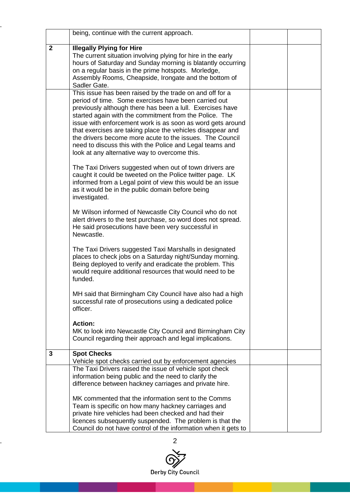|                | being, continue with the current approach.                                                                                                                                                                                                                                                                                                                                                                                                                                                                                                   |  |
|----------------|----------------------------------------------------------------------------------------------------------------------------------------------------------------------------------------------------------------------------------------------------------------------------------------------------------------------------------------------------------------------------------------------------------------------------------------------------------------------------------------------------------------------------------------------|--|
| $\overline{2}$ | <b>Illegally Plying for Hire</b><br>The current situation involving plying for hire in the early<br>hours of Saturday and Sunday morning is blatantly occurring<br>on a regular basis in the prime hotspots. Morledge,<br>Assembly Rooms, Cheapside, Irongate and the bottom of<br>Sadler Gate.                                                                                                                                                                                                                                              |  |
|                | This issue has been raised by the trade on and off for a<br>period of time. Some exercises have been carried out<br>previously although there has been a lull. Exercises have<br>started again with the commitment from the Police. The<br>issue with enforcement work is as soon as word gets around<br>that exercises are taking place the vehicles disappear and<br>the drivers become more acute to the issues. The Council<br>need to discuss this with the Police and Legal teams and<br>look at any alternative way to overcome this. |  |
|                | The Taxi Drivers suggested when out of town drivers are<br>caught it could be tweeted on the Police twitter page. LK<br>informed from a Legal point of view this would be an issue<br>as it would be in the public domain before being<br>investigated.                                                                                                                                                                                                                                                                                      |  |
|                | Mr Wilson informed of Newcastle City Council who do not<br>alert drivers to the test purchase, so word does not spread.<br>He said prosecutions have been very successful in<br>Newcastle.                                                                                                                                                                                                                                                                                                                                                   |  |
|                | The Taxi Drivers suggested Taxi Marshalls in designated<br>places to check jobs on a Saturday night/Sunday morning.<br>Being deployed to verify and eradicate the problem. This<br>would require additional resources that would need to be<br>funded.                                                                                                                                                                                                                                                                                       |  |
|                | MH said that Birmingham City Council have also had a high<br>successful rate of prosecutions using a dedicated police<br>officer.                                                                                                                                                                                                                                                                                                                                                                                                            |  |
|                | <b>Action:</b><br>MK to look into Newcastle City Council and Birmingham City<br>Council regarding their approach and legal implications.                                                                                                                                                                                                                                                                                                                                                                                                     |  |
| 3              | <b>Spot Checks</b>                                                                                                                                                                                                                                                                                                                                                                                                                                                                                                                           |  |
|                | Vehicle spot checks carried out by enforcement agencies<br>The Taxi Drivers raised the issue of vehicle spot check<br>information being public and the need to clarify the<br>difference between hackney carriages and private hire.                                                                                                                                                                                                                                                                                                         |  |
|                | MK commented that the information sent to the Comms<br>Team is specific on how many hackney carriages and<br>private hire vehicles had been checked and had their<br>licences subsequently suspended. The problem is that the<br>Council do not have control of the information when it gets to                                                                                                                                                                                                                                              |  |

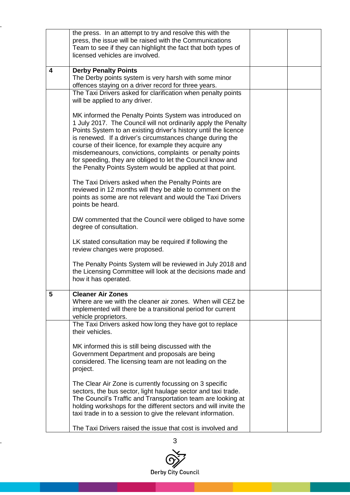|   | the press. In an attempt to try and resolve this with the<br>press, the issue will be raised with the Communications<br>Team to see if they can highlight the fact that both types of<br>licensed vehicles are involved.                                                                                                                                                                                                                                                                                  |  |
|---|-----------------------------------------------------------------------------------------------------------------------------------------------------------------------------------------------------------------------------------------------------------------------------------------------------------------------------------------------------------------------------------------------------------------------------------------------------------------------------------------------------------|--|
| 4 | <b>Derby Penalty Points</b><br>The Derby points system is very harsh with some minor<br>offences staying on a driver record for three years.                                                                                                                                                                                                                                                                                                                                                              |  |
|   | The Taxi Drivers asked for clarification when penalty points<br>will be applied to any driver.                                                                                                                                                                                                                                                                                                                                                                                                            |  |
|   | MK informed the Penalty Points System was introduced on<br>1 July 2017. The Council will not ordinarily apply the Penalty<br>Points System to an existing driver's history until the licence<br>is renewed. If a driver's circumstances change during the<br>course of their licence, for example they acquire any<br>misdemeanours, convictions, complaints or penalty points<br>for speeding, they are obliged to let the Council know and<br>the Penalty Points System would be applied at that point. |  |
|   | The Taxi Drivers asked when the Penalty Points are<br>reviewed in 12 months will they be able to comment on the<br>points as some are not relevant and would the Taxi Drivers<br>points be heard.                                                                                                                                                                                                                                                                                                         |  |
|   | DW commented that the Council were obliged to have some<br>degree of consultation.                                                                                                                                                                                                                                                                                                                                                                                                                        |  |
|   | LK stated consultation may be required if following the<br>review changes were proposed.                                                                                                                                                                                                                                                                                                                                                                                                                  |  |
|   | The Penalty Points System will be reviewed in July 2018 and<br>the Licensing Committee will look at the decisions made and<br>how it has operated.                                                                                                                                                                                                                                                                                                                                                        |  |
| 5 | <b>Cleaner Air Zones</b><br>Where are we with the cleaner air zones. When will CEZ be<br>implemented will there be a transitional period for current<br>vehicle proprietors.                                                                                                                                                                                                                                                                                                                              |  |
|   | The Taxi Drivers asked how long they have got to replace<br>their vehicles.                                                                                                                                                                                                                                                                                                                                                                                                                               |  |
|   | MK informed this is still being discussed with the<br>Government Department and proposals are being<br>considered. The licensing team are not leading on the<br>project.                                                                                                                                                                                                                                                                                                                                  |  |
|   | The Clear Air Zone is currently focussing on 3 specific<br>sectors, the bus sector, light haulage sector and taxi trade.<br>The Council's Traffic and Transportation team are looking at<br>holding workshops for the different sectors and will invite the<br>taxi trade in to a session to give the relevant information.                                                                                                                                                                               |  |
|   | The Taxi Drivers raised the issue that cost is involved and                                                                                                                                                                                                                                                                                                                                                                                                                                               |  |

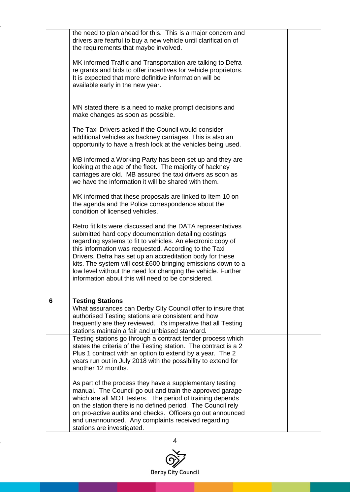|   | the need to plan ahead for this. This is a major concern and<br>drivers are fearful to buy a new vehicle until clarification of<br>the requirements that maybe involved.                                                                                                                                                                                                                                                                                                                      |  |
|---|-----------------------------------------------------------------------------------------------------------------------------------------------------------------------------------------------------------------------------------------------------------------------------------------------------------------------------------------------------------------------------------------------------------------------------------------------------------------------------------------------|--|
|   | MK informed Traffic and Transportation are talking to Defra<br>re grants and bids to offer incentives for vehicle proprietors.<br>It is expected that more definitive information will be<br>available early in the new year.                                                                                                                                                                                                                                                                 |  |
|   | MN stated there is a need to make prompt decisions and<br>make changes as soon as possible.                                                                                                                                                                                                                                                                                                                                                                                                   |  |
|   | The Taxi Drivers asked if the Council would consider<br>additional vehicles as hackney carriages. This is also an<br>opportunity to have a fresh look at the vehicles being used.                                                                                                                                                                                                                                                                                                             |  |
|   | MB informed a Working Party has been set up and they are<br>looking at the age of the fleet. The majority of hackney<br>carriages are old. MB assured the taxi drivers as soon as<br>we have the information it will be shared with them.                                                                                                                                                                                                                                                     |  |
|   | MK informed that these proposals are linked to Item 10 on<br>the agenda and the Police correspondence about the<br>condition of licensed vehicles.                                                                                                                                                                                                                                                                                                                                            |  |
|   | Retro fit kits were discussed and the DATA representatives<br>submitted hard copy documentation detailing costings<br>regarding systems to fit to vehicles. An electronic copy of<br>this information was requested. According to the Taxi<br>Drivers, Defra has set up an accreditation body for these<br>kits. The system will cost £600 bringing emissions down to a<br>low level without the need for changing the vehicle. Further<br>information about this will need to be considered. |  |
| 6 | <b>Testing Stations</b><br>What assurances can Derby City Council offer to insure that<br>authorised Testing stations are consistent and how<br>frequently are they reviewed. It's imperative that all Testing<br>stations maintain a fair and unbiased standard.                                                                                                                                                                                                                             |  |
|   | Testing stations go through a contract tender process which<br>states the criteria of the Testing station. The contract is a 2<br>Plus 1 contract with an option to extend by a year. The 2<br>years run out in July 2018 with the possibility to extend for<br>another 12 months.                                                                                                                                                                                                            |  |
|   | As part of the process they have a supplementary testing<br>manual. The Council go out and train the approved garage<br>which are all MOT testers. The period of training depends<br>on the station there is no defined period. The Council rely<br>on pro-active audits and checks. Officers go out announced<br>and unannounced. Any complaints received regarding<br>stations are investigated.                                                                                            |  |

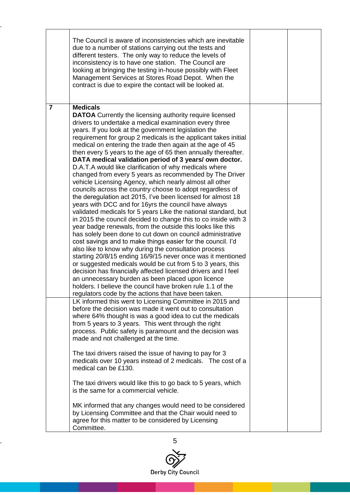|                | The Council is aware of inconsistencies which are inevitable<br>due to a number of stations carrying out the tests and<br>different testers. The only way to reduce the levels of<br>inconsistency is to have one station. The Council are<br>looking at bringing the testing in-house possibly with Fleet<br>Management Services at Stores Road Depot. When the<br>contract is due to expire the contact will be looked at.                                                                                                                                                                                                                                                                                                                                                                                                                                                                                                                                                                                                                                                                                                                                                                                                                                                                                                                                                                                                                                                                                                                                                                        |  |
|----------------|-----------------------------------------------------------------------------------------------------------------------------------------------------------------------------------------------------------------------------------------------------------------------------------------------------------------------------------------------------------------------------------------------------------------------------------------------------------------------------------------------------------------------------------------------------------------------------------------------------------------------------------------------------------------------------------------------------------------------------------------------------------------------------------------------------------------------------------------------------------------------------------------------------------------------------------------------------------------------------------------------------------------------------------------------------------------------------------------------------------------------------------------------------------------------------------------------------------------------------------------------------------------------------------------------------------------------------------------------------------------------------------------------------------------------------------------------------------------------------------------------------------------------------------------------------------------------------------------------------|--|
| $\overline{7}$ | <b>Medicals</b><br><b>DATOA</b> Currently the licensing authority require licensed<br>drivers to undertake a medical examination every three<br>years. If you look at the government legislation the<br>requirement for group 2 medicals is the applicant takes initial<br>medical on entering the trade then again at the age of 45<br>then every 5 years to the age of 65 then annually thereafter.<br>DATA medical validation period of 3 years/own doctor.<br>D.A.T.A would like clarification of why medicals where<br>changed from every 5 years as recommended by The Driver<br>vehicle Licensing Agency, which nearly almost all other<br>councils across the country choose to adopt regardless of<br>the deregulation act 2015, I've been licensed for almost 18<br>years with DCC and for 16yrs the council have always<br>validated medicals for 5 years Like the national standard, but<br>in 2015 the council decided to change this to co inside with 3<br>year badge renewals, from the outside this looks like this<br>has solely been done to cut down on council administrative<br>cost savings and to make things easier for the council. I'd<br>also like to know why during the consultation process<br>starting 20/8/15 ending 16/9/15 never once was it mentioned<br>or suggested medicals would be cut from 5 to 3 years, this<br>decision has financially affected licensed drivers and I feel<br>an unnecessary burden as been placed upon licence<br>holders. I believe the council have broken rule 1.1 of the<br>regulators code by the actions that have been taken. |  |
|                | LK informed this went to Licensing Committee in 2015 and<br>before the decision was made it went out to consultation<br>where 64% thought is was a good idea to cut the medicals<br>from 5 years to 3 years. This went through the right<br>process. Public safety is paramount and the decision was<br>made and not challenged at the time.<br>The taxi drivers raised the issue of having to pay for 3<br>medicals over 10 years instead of 2 medicals. The cost of a<br>medical can be £130.<br>The taxi drivers would like this to go back to 5 years, which<br>is the same for a commercial vehicle.<br>MK informed that any changes would need to be considered<br>by Licensing Committee and that the Chair would need to<br>agree for this matter to be considered by Licensing<br>Committee.                                                                                                                                                                                                                                                                                                                                                                                                                                                                                                                                                                                                                                                                                                                                                                                               |  |

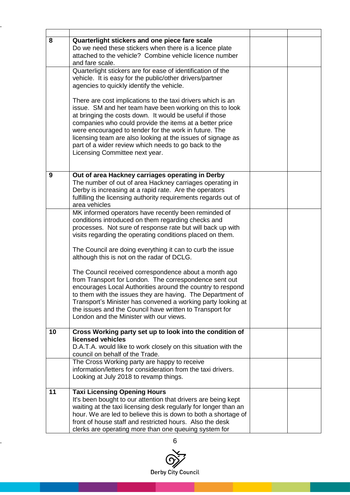| 8  | Quarterlight stickers and one piece fare scale                                                                                    |  |
|----|-----------------------------------------------------------------------------------------------------------------------------------|--|
|    | Do we need these stickers when there is a licence plate<br>attached to the vehicle? Combine vehicle licence number                |  |
|    | and fare scale.                                                                                                                   |  |
|    | Quarterlight stickers are for ease of identification of the<br>vehicle. It is easy for the public/other drivers/partner           |  |
|    | agencies to quickly identify the vehicle.                                                                                         |  |
|    |                                                                                                                                   |  |
|    | There are cost implications to the taxi drivers which is an<br>issue. SM and her team have been working on this to look           |  |
|    | at bringing the costs down. It would be useful if those                                                                           |  |
|    | companies who could provide the items at a better price                                                                           |  |
|    | were encouraged to tender for the work in future. The<br>licensing team are also looking at the issues of signage as              |  |
|    | part of a wider review which needs to go back to the                                                                              |  |
|    | Licensing Committee next year.                                                                                                    |  |
|    |                                                                                                                                   |  |
| 9  | Out of area Hackney carriages operating in Derby                                                                                  |  |
|    | The number of out of area Hackney carriages operating in                                                                          |  |
|    | Derby is increasing at a rapid rate. Are the operators<br>fulfilling the licensing authority requirements regards out of          |  |
|    | area vehicles                                                                                                                     |  |
|    | MK informed operators have recently been reminded of                                                                              |  |
|    | conditions introduced on them regarding checks and                                                                                |  |
|    | processes. Not sure of response rate but will back up with<br>visits regarding the operating conditions placed on them.           |  |
|    |                                                                                                                                   |  |
|    | The Council are doing everything it can to curb the issue                                                                         |  |
|    | although this is not on the radar of DCLG.                                                                                        |  |
|    | The Council received correspondence about a month ago                                                                             |  |
|    | from Transport for London. The correspondence sent out                                                                            |  |
|    | encourages Local Authorities around the country to respond<br>to them with the issues they are having. The Department of          |  |
|    | Transport's Minister has convened a working party looking at                                                                      |  |
|    | the issues and the Council have written to Transport for                                                                          |  |
|    | London and the Minister with our views.                                                                                           |  |
| 10 | Cross Working party set up to look into the condition of                                                                          |  |
|    | licensed vehicles                                                                                                                 |  |
|    | D.A.T.A. would like to work closely on this situation with the<br>council on behalf of the Trade.                                 |  |
|    | The Cross Working party are happy to receive                                                                                      |  |
|    | information/letters for consideration from the taxi drivers.                                                                      |  |
|    | Looking at July 2018 to revamp things.                                                                                            |  |
| 11 | <b>Taxi Licensing Opening Hours</b>                                                                                               |  |
|    | It's been bought to our attention that drivers are being kept                                                                     |  |
|    | waiting at the taxi licensing desk regularly for longer than an<br>hour. We are led to believe this is down to both a shortage of |  |
|    | front of house staff and restricted hours. Also the desk                                                                          |  |
|    | clerks are operating more than one queuing system for                                                                             |  |